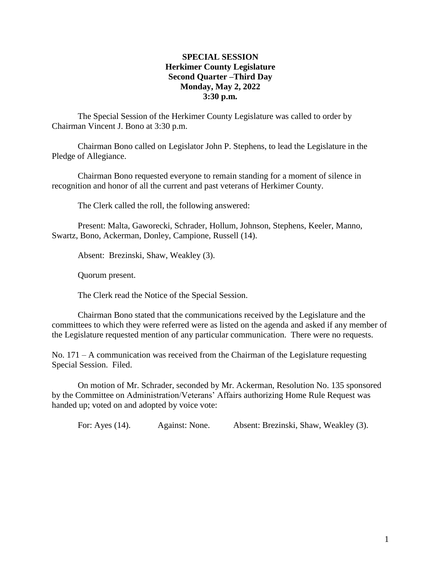# **SPECIAL SESSION Herkimer County Legislature Second Quarter –Third Day Monday, May 2, 2022 3:30 p.m.**

The Special Session of the Herkimer County Legislature was called to order by Chairman Vincent J. Bono at 3:30 p.m.

Chairman Bono called on Legislator John P. Stephens, to lead the Legislature in the Pledge of Allegiance.

Chairman Bono requested everyone to remain standing for a moment of silence in recognition and honor of all the current and past veterans of Herkimer County.

The Clerk called the roll, the following answered:

Present: Malta, Gaworecki, Schrader, Hollum, Johnson, Stephens, Keeler, Manno, Swartz, Bono, Ackerman, Donley, Campione, Russell (14).

Absent: Brezinski, Shaw, Weakley (3).

Quorum present.

The Clerk read the Notice of the Special Session.

Chairman Bono stated that the communications received by the Legislature and the committees to which they were referred were as listed on the agenda and asked if any member of the Legislature requested mention of any particular communication. There were no requests.

No. 171 – A communication was received from the Chairman of the Legislature requesting Special Session. Filed.

On motion of Mr. Schrader, seconded by Mr. Ackerman, Resolution No. 135 sponsored by the Committee on Administration/Veterans' Affairs authorizing Home Rule Request was handed up; voted on and adopted by voice vote:

For: Ayes (14). Against: None. Absent: Brezinski, Shaw, Weakley (3).